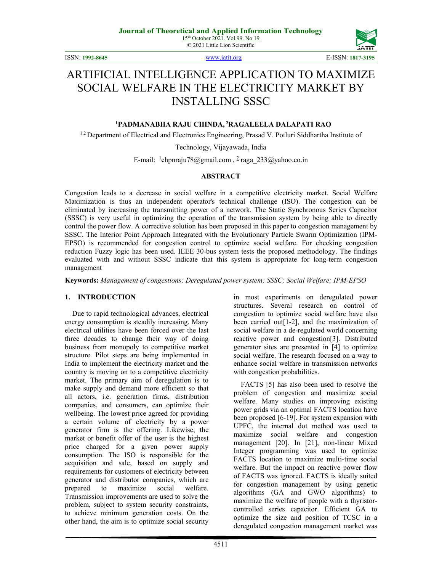

ISSN: **1992-8645** [www.jatit.org](http://www.jatit.org/) E-ISSN: **1817-3195**

# ARTIFICIAL INTELLIGENCE APPLICATION TO MAXIMIZE SOCIAL WELFARE IN THE ELECTRICITY MARKET BY INSTALLING SSSC

## **1 PADMANABHA RAJU CHINDA, <sup>2</sup> RAGALEELA DALAPATI RAO**

<sup>1,2</sup> Department of Electrical and Electronics Engineering, Prasad V. Potluri Siddhartha Institute of

Technology, Vijayawada, India

E-mail: <sup>1</sup>chpnraju78@gmail.com, <sup>2</sup> raga\_233@yahoo.co.in

#### **ABSTRACT**

Congestion leads to a decrease in social welfare in a competitive electricity market. Social Welfare Maximization is thus an independent operator's technical challenge (ISO). The congestion can be eliminated by increasing the transmitting power of a network. The Static Synchronous Series Capacitor (SSSC) is very useful in optimizing the operation of the transmission system by being able to directly control the power flow. A corrective solution has been proposed in this paper to congestion management by SSSC. The Interior Point Approach Integrated with the Evolutionary Particle Swarm Optimization (IPM-EPSO) is recommended for congestion control to optimize social welfare. For checking congestion reduction Fuzzy logic has been used. IEEE 30-bus system tests the proposed methodology. The findings evaluated with and without SSSC indicate that this system is appropriate for long-term congestion management

**Keywords:** *Management of congestions; Deregulated power system; SSSC; Social Welfare; IPM-EPSO* 

### **1. INTRODUCTION**

Due to rapid technological advances, electrical energy consumption is steadily increasing. Many electrical utilities have been forced over the last three decades to change their way of doing business from monopoly to competitive market structure. Pilot steps are being implemented in India to implement the electricity market and the country is moving on to a competitive electricity market. The primary aim of deregulation is to make supply and demand more efficient so that all actors, i.e. generation firms, distribution companies, and consumers, can optimize their wellbeing. The lowest price agreed for providing a certain volume of electricity by a power generator firm is the offering. Likewise, the market or benefit offer of the user is the highest price charged for a given power supply consumption. The ISO is responsible for the acquisition and sale, based on supply and requirements for customers of electricity between generator and distributor companies, which are prepared to maximize social welfare. Transmission improvements are used to solve the problem, subject to system security constraints, to achieve minimum generation costs. On the other hand, the aim is to optimize social security in most experiments on deregulated power structures. Several research on control of congestion to optimize social welfare have also been carried out[1-2], and the maximization of social welfare in a de-regulated world concerning reactive power and congestion[3]. Distributed generator sites are presented in [4] to optimize social welfare. The research focused on a way to enhance social welfare in transmission networks with congestion probabilities.

FACTS [5] has also been used to resolve the problem of congestion and maximize social welfare. Many studies on improving existing power grids via an optimal FACTS location have been proposed [6-19]. For system expansion with UPFC, the internal dot method was used to maximize social welfare and congestion management [20]. In [21], non-linear Mixed Integer programming was used to optimize FACTS location to maximize multi-time social welfare. But the impact on reactive power flow of FACTS was ignored. FACTS is ideally suited for congestion management by using genetic algorithms (GA and GWO algorithms) to maximize the welfare of people with a thyristorcontrolled series capacitor. Efficient GA to optimize the size and position of TCSC in a deregulated congestion management market was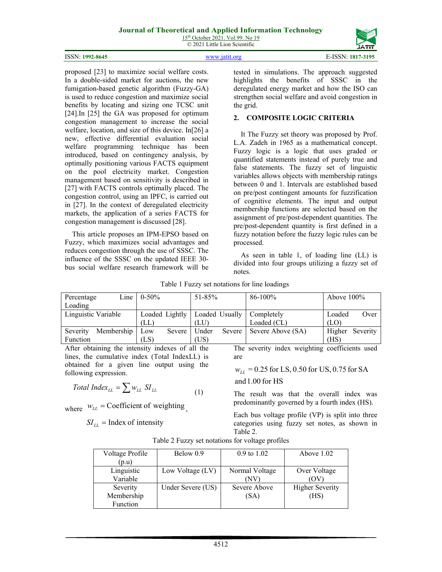# **Journal of Theoretical and Applied Information Technology**

15<sup>th</sup> October 2021. Vol.99. No 19 © 2021 Little Lion Scientific

|                 | $\mathbf{z}$<br>2021<br>Little Lion Scientific | -----<br>JĀTĪT   |
|-----------------|------------------------------------------------|------------------|
| ISSN: 1992-8645 |                                                | -ISSN: 1817-3195 |

proposed [23] to maximize social welfare costs. In a double-sided market for auctions, the new fumigation-based genetic algorithm (Fuzzy-GA) is used to reduce congestion and maximize social benefits by locating and sizing one TCSC unit [24].In [25] the GA was proposed for optimum congestion management to increase the social welfare, location, and size of this device. In[26] a new, effective differential evaluation social welfare programming technique has been introduced, based on contingency analysis, by optimally positioning various FACTS equipment on the pool electricity market. Congestion management based on sensitivity is described in [27] with FACTS controls optimally placed. The congestion control, using an IPFC, is carried out in [27]. In the context of deregulated electricity markets, the application of a series FACTS for congestion management is discussed [28].

This article proposes an IPM-EPSO based on Fuzzy, which maximizes social advantages and reduces congestion through the use of SSSC. The influence of the SSSC on the updated IEEE 30 bus social welfare research framework will be

tested in simulations. The approach suggested highlights the benefits of SSSC in the deregulated energy market and how the ISO can strengthen social welfare and avoid congestion in the grid.

# **2. COMPOSITE LOGIC CRITERIA**

It The Fuzzy set theory was proposed by Prof. L.A. Zadeh in 1965 as a mathematical concept. Fuzzy logic is a logic that uses graded or quantified statements instead of purely true and false statements. The fuzzy set of linguistic variables allows objects with membership ratings between 0 and 1. Intervals are established based on pre/post contingent amounts for fuzzification of cognitive elements. The input and output membership functions are selected based on the assignment of pre/post-dependent quantities. The pre/post-dependent quantity is first defined in a fuzzy notation before the fuzzy logic rules can be processed.

As seen in table 1, of loading line (LL) is divided into four groups utilizing a fuzzy set of notes.

| Percentage          | Line       | $0 - 50\%$     |        | $51 - 85\%$ |               | 86-100%                     | Above $100\%$ |                 |
|---------------------|------------|----------------|--------|-------------|---------------|-----------------------------|---------------|-----------------|
| Loading             |            |                |        |             |               |                             |               |                 |
| Linguistic Variable |            | Loaded Lightly |        |             |               | Loaded Usually   Completely | Loaded        | Over            |
|                     |            | (LL)           |        | (LU)        |               | Loaded (CL)                 | (LO)          |                 |
| Severity            | Membership | Low            | Severe | Under       | <b>Severe</b> | Severe Above (SA)           |               | Higher Severity |
| Function            |            | (LS)           |        | (US)        |               |                             | (HS)          |                 |

Table 1 Fuzzy set notations for line loadings

After obtaining the intensity indexes of all the lines, the cumulative index (Total IndexLL) is obtained for a given line output using the following expression.

$$
Total Index_{LL} = \sum w_{LL} SI_{LL}
$$
 (1)

where  $W_{LL}$  = Coefficient of weighting

$$
SI_{LL} = \text{Index of intensity}
$$

The severity index weighting coefficients used are

$$
w_{LL} = 0.25
$$
 for LS,  $0.50$  for US,  $0.75$  for SA

and1.00 for HS

The result was that the overall index was predominantly governed by a fourth index (HS).

Each bus voltage profile (VP) is split into three categories using fuzzy set notes, as shown in Table 2.

| Voltage Profile | Below 0.9         | $0.9 \text{ to } 1.02$ | Above $1.02$           |
|-----------------|-------------------|------------------------|------------------------|
| (p.u)           |                   |                        |                        |
| Linguistic      | Low Voltage (LV)  | Normal Voltage         | Over Voltage           |
| Variable        |                   | 'N V                   |                        |
| Severity        | Under Severe (US) | Severe Above           | <b>Higher Severity</b> |
| Membership      |                   | (SA)                   | (HS)                   |
| Function        |                   |                        |                        |

Table 2 Fuzzy set notations for voltage profiles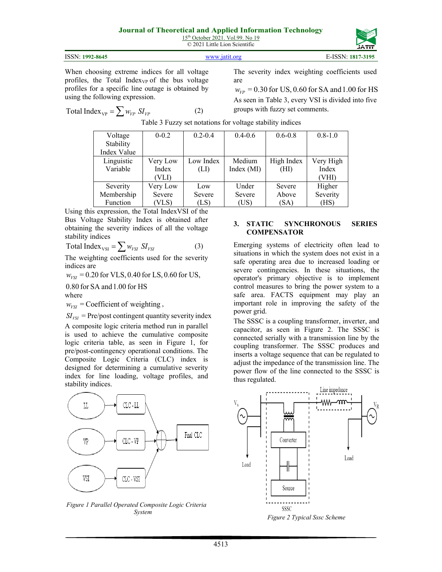# **Journal of Theoretical and Applied Information Technology**

15<sup>th</sup> October 2021. Vol.99. No 19 © 2021 Little Lion Scientific

| ISSN: 1992-8645 | WWW 19111 Oro | E-ISSN: 1817-3195 |
|-----------------|---------------|-------------------|

When choosing extreme indices for all voltage profiles, the Total Index<sub>VP</sub> of the bus voltage profiles for a specific line outage is obtained by using the following expression.

$$
Total Index_{VP} = \sum w_{VP} SI_{VP}
$$
 (2)

The severity index weighting coefficients used are

 $W_{\nu p} = 0.30$  for US, 0.60 for SA and 1.00 for HS As seen in Table 3, every VSI is divided into five groups with fuzzy set comments.

| Voltage     | $0 - 0.2$ | $0.2 - 0.4$ | $0.4 - 0.6$ | $0.6 - 0.8$ | $0.8 - 1.0$ |
|-------------|-----------|-------------|-------------|-------------|-------------|
| Stability   |           |             |             |             |             |
| Index Value |           |             |             |             |             |
| Linguistic  | Very Low  | Low Index   | Medium      | High Index  | Very High   |
| Variable    | Index     | (LI)        | Index (MI)  | (HI)        | Index       |
|             | (VLI)     |             |             |             | (VHI)       |
| Severity    | Very Low  | Low         | Under       | Severe      | Higher      |
| Membership  | Severe    | Severe      | Severe      | Above       | Severity    |
| Function    | (VLS)     | (LS)        | (US)        | (SA)        | (HS)        |

Table 3 Fuzzy set notations for voltage stability indices

Using this expression, the Total IndexVSI of the Bus Voltage Stability Index is obtained after obtaining the severity indices of all the voltage stability indices

 $Total Index_{VSI} = \sum w_{VSI} SI_{VSI}$  (3)

The weighting coefficients used for the severity indices are

 $w_{VSI} = 0.20$  for VLS, 0.40 for LS, 0.60 for US,

0.80 for SA and 1.00 for HS

where

 $w_{\text{v}ST}$  = Coefficient of weighting,

 $SI<sub>YSI</sub>$  = Pre/post contingent quantity severity index

A composite logic criteria method run in parallel is used to achieve the cumulative composite logic criteria table, as seen in Figure 1, for pre/post-contingency operational conditions. The Composite Logic Criteria (CLC) index is designed for determining a cumulative severity index for line loading, voltage profiles, and stability indices.



*Figure 1 Parallel Operated Composite Logic Criteria System*

### **3. STATIC SYNCHRONOUS SERIES COMPENSATOR**

Emerging systems of electricity often lead to situations in which the system does not exist in a safe operating area due to increased loading or severe contingencies. In these situations, the operator's primary objective is to implement control measures to bring the power system to a safe area. FACTS equipment may play an important role in improving the safety of the power grid.

The SSSC is a coupling transformer, inverter, and capacitor, as seen in Figure 2. The SSSC is connected serially with a transmission line by the coupling transformer. The SSSC produces and inserts a voltage sequence that can be regulated to adjust the impedance of the transmission line. The power flow of the line connected to the SSSC is thus regulated.



*Figure 2 Typical Sssc Scheme*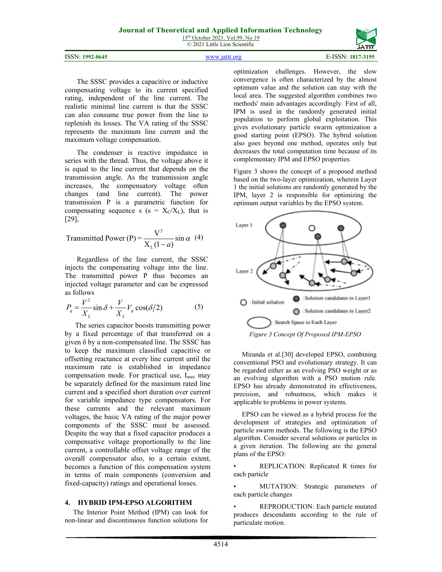| ISSN: 1992-8645 |  | 7-3195<br>1 X I |
|-----------------|--|-----------------|

The SSSC provides a capacitive or inductive compensating voltage to its current specified rating, independent of the line current. The realistic minimal line current is that the SSSC can also consume true power from the line to replenish its losses. The VA rating of the SSSC represents the maximum line current and the maximum voltage compensation.

The condenser is reactive impedance in series with the thread. Thus, the voltage above it is equal to the line current that depends on the transmission angle. As the transmission angle increases, the compensatory voltage often changes (and line current). The power transmission P is a parametric function for compensating sequence s ( $s = X_C/X_L$ ), that is [29],

Transmitted Power (P) = 
$$
\frac{V^2}{X_L(1-a)}
$$
 sin  $\alpha$  (4)

Regardless of the line current, the SSSC injects the compensating voltage into the line. The transmitted power P thus becomes an injected voltage parameter and can be expressed as follows

$$
P_q = \frac{V^2}{X_L} \sin \delta + \frac{V}{X_L} V_q \cos(\delta/2)
$$
 (5)

The series capacitor boosts transmitting power by a fixed percentage of that transferred on a given δ by a non-compensated line. The SSSC has to keep the maximum classified capacitive or offsetting reactance at every line current until the maximum rate is established in impedance compensation mode. For practical use,  $I_{\text{max}}$  may be separately defined for the maximum rated line current and a specified short duration over current for variable impedance type compensators. For these currents and the relevant maximum voltages, the basic VA rating of the major power components of the SSSC must be assessed. Despite the way that a fixed capacitor produces a compensative voltage proportionally to the line current, a controllable offset voltage range of the overall compensator also, to a certain extent, becomes a function of this compensation system in terms of main components (conversion and fixed-capacity) ratings and operational losses.

### **4. HYBRID IPM-EPSO ALGORITHM**

The Interior Point Method (IPM) can look for non-linear and discontinuous function solutions for

optimization challenges. However, the slow convergence is often characterized by the almost optimum value and the solution can stay with the local area. The suggested algorithm combines two methods' main advantages accordingly. First of all, IPM is used in the randomly generated initial population to perform global exploitation. This gives evolutionary particle swarm optimization a good starting point (EPSO). The hybrid solution also goes beyond one method, operates only but decreases the total computation time because of its complementary IPM and EPSO properties.

Figure 3 shows the concept of a proposed method based on the two-layer optimization, wherein Layer 1 the initial solutions are randomly generated by the IPM, layer 2 is responsible for optimizing the optimum output variables by the EPSO system.



Miranda et al.[30] developed EPSO, combining conventional PSO and evolutionary strategy. It can be regarded either as an evolving PSO weight or as an evolving algorithm with a PSO motion rule. EPSO has already demonstrated its effectiveness, precision, and robustness, which makes it applicable to problems in power systems.

EPSO can be viewed as a hybrid process for the development of strategies and optimization of particle swarm methods. The following is the EPSO algorithm. Consider several solutions or particles in a given iteration. The following are the general plans of the EPSO:

• REPLICATION: Replicated R times for each particle

MUTATION: Strategic parameters of each particle changes

• REPRODUCTION: Each particle mutated produces descendants according to the rule of particulate motion.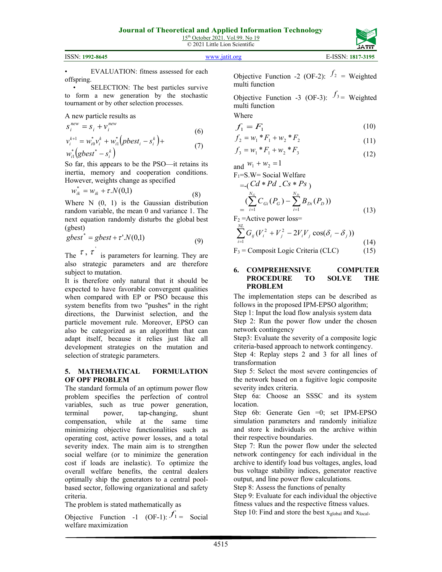| ISSN: 1992-8645 | www.jatit.org | E-ISSN: 1817-3195 |
|-----------------|---------------|-------------------|



• SELECTION: The best particles survive to form a new generation by the stochastic tournament or by other selection processes.

A new particle results as

$$
S_i^{new} = S_i + v_i^{new}
$$
  
\n
$$
v_i^{k+1} = w_{i0}^* v_i^k + w_{i1}^* (pbest_i - s_i^k) +
$$
  
\n(6)

$$
v_i^{k+1} = w_{i0}^* v_i^k + w_{i1}^* (pbest_i - s_i^k) + w_{i1}^* (gbest^* - s_i^k)
$$
\n
$$
(7)
$$

So far, this appears to be the PSO—it retains its inertia, memory and cooperation conditions. However, weights change as specified

$$
w_{ik}^* = w_{ik} + \tau.N(0,1)
$$
 (8)

Where N  $(0, 1)$  is the Gaussian distribution random variable, the mean 0 and variance 1. The next equation randomly disturbs the global best (gbest)

$$
gbest^* = gbest + \tau'.N(0,1)
$$
\n(9)

The  $\tau$ ,  $\tau$  is parameters for learning. They are also strategic parameters and are therefore subject to mutation.

It is therefore only natural that it should be expected to have favorable convergent qualities when compared with EP or PSO because this system benefits from two "pushes" in the right directions, the Darwinist selection, and the particle movement rule. Moreover, EPSO can also be categorized as an algorithm that can adapt itself, because it relies just like all development strategies on the mutation and selection of strategic parameters.

# **5. MATHEMATICAL FORMULATION OF OPF PROBLEM**

The standard formula of an optimum power flow problem specifies the perfection of control variables, such as true power generation, terminal power, tap-changing, shunt compensation, while at the same time minimizing objective functionalities such as operating cost, active power losses, and a total severity index. The main aim is to strengthen social welfare (or to minimize the generation cost if loads are inelastic). To optimize the overall welfare benefits, the central dealers optimally ship the generators to a central poolbased sector, following organizational and safety criteria.

The problem is stated mathematically as

Objective Function -1 (OF-1):  $f_1$  = Social welfare maximization

Objective Function -2 (OF-2):  $f_2$  = Weighted multi function

Objective Function -3 (OF-3):  $f_3$  = Weighted multi function

$$
f_1 = F_1 \tag{10}
$$

$$
f_2 = w_1 * F_1 + w_2 * F_2 \tag{11}
$$

$$
f_3 = w_1 * F_1 + w_2 * F_3 \tag{12}
$$

and  $w_1 + w_2 = 1$ <br>**Figure 1** Social

**Where** 

$$
F_1 = S.W = Social Welfare\n= (Cd * Pd _ CS * Ps )\n= (\sum_{i=1}^{N_G} C_{Gi} (P_G) - \sum_{i=1}^{N_D} B_{Di} (P_D))
$$
\n
$$
F = A \cdot A
$$
\n(13)

 $F_2$  = Active power loss=

$$
\sum_{i=1}^{N_L} G_{ij} (V_i^2 + V_j^2 - 2V_i V_j \cos(\delta_i - \delta_j))
$$
\n
$$
V_i = \text{Composit Logic Critorio (CL C)} \tag{15}
$$

$$
F_3 = \text{Composit Logic Criteria (CLC)} \tag{15}
$$

#### **6. COMPREHENSIVE COMPUTER PROCEDURE TO SOLVE THE PROBLEM**

The implementation steps can be described as follows in the proposed IPM-EPSO algorithm; Step 1: Input the load flow analysis system data Step 2: Run the power flow under the chosen network contingency

Step3: Evaluate the severity of a composite logic criteria-based approach to network contingency.

Step 4: Replay steps 2 and 3 for all lines of transformation

Step 5: Select the most severe contingencies of the network based on a fugitive logic composite severity index criteria.

Step 6a: Choose an SSSC and its system location.

Step 6b: Generate Gen =0; set IPM-EPSO simulation parameters and randomly initialize and store k individuals on the archive within their respective boundaries.

Step 7: Run the power flow under the selected network contingency for each individual in the archive to identify load bus voltages, angles, load bus voltage stability indices, generator reactive output, and line power flow calculations.

Step 8: Assess the functions of penalty

Step 9: Evaluate for each individual the objective fitness values and the respective fitness values. Step 10: Find and store the best x<sub>global</sub> and x<sub>local</sub>.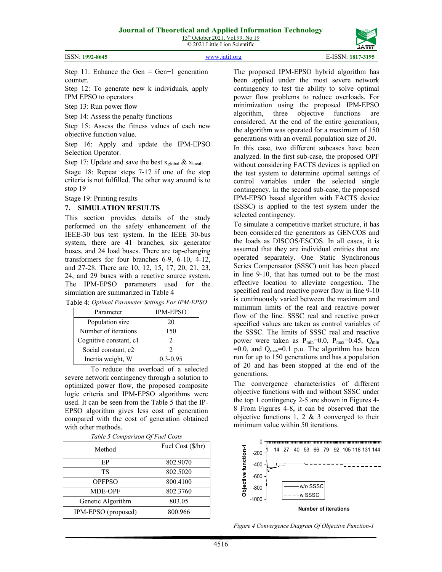15<sup>th</sup> October 2021. Vol.99. No 19 © 2021 Little Lion Scientific



Step 11: Enhance the Gen = Gen+1 generation counter.

Step 12: To generate new k individuals, apply IPM EPSO to operators

Step 13: Run power flow

Step 14: Assess the penalty functions

Step 15: Assess the fitness values of each new objective function value.

Step 16: Apply and update the IPM-EPSO Selection Operator.

Step 17: Update and save the best  $x_{global} \& x_{local}$ .

Stage 18: Repeat steps 7-17 if one of the stop criteria is not fulfilled. The other way around is to stop 19

Stage 19: Printing results

### **7. SIMULATION RESULTS**

This section provides details of the study performed on the safety enhancement of the IEEE-30 bus test system. In the IEEE 30-bus system, there are 41 branches, six generator buses, and 24 load buses. There are tap-changing transformers for four branches 6-9, 6-10, 4-12, and 27-28. There are 10, 12, 15, 17, 20, 21, 23, 24, and 29 buses with a reactive source system. The IPM-EPSO parameters used for the simulation are summarized in Table 4

|  |  | Table 4: Optimal Parameter Settings For IPM-EPSO |
|--|--|--------------------------------------------------|
|  |  |                                                  |

| Parameter              | <b>IPM-EPSO</b> |
|------------------------|-----------------|
| Population size        | 20              |
| Number of iterations   | 150             |
| Cognitive constant, c1 |                 |
| Social constant, c2    |                 |
| Inertia weight, W      | $0.3 - 0.95$    |

To reduce the overload of a selected severe network contingency through a solution to optimized power flow, the proposed composite logic criteria and IPM-EPSO algorithms were used. It can be seen from the Table 5 that the IP-EPSO algorithm gives less cost of generation compared with the cost of generation obtained with other methods.

| Method              | Fuel Cost (\$/hr) |
|---------------------|-------------------|
| EP                  | 802.9070          |
| TS                  | 802.5020          |
| <b>OPFPSO</b>       | 800.4100          |
| <b>MDE-OPF</b>      | 802.3760          |
| Genetic Algorithm   | 803.05            |
| IPM-EPSO (proposed) | 800.966           |

The proposed IPM-EPSO hybrid algorithm has been applied under the most severe network contingency to test the ability to solve optimal power flow problems to reduce overloads. For minimization using the proposed IPM-EPSO algorithm, three objective functions are considered. At the end of the entire generations, the algorithm was operated for a maximum of 150 generations with an overall population size of 20.

In this case, two different subcases have been analyzed. In the first sub-case, the proposed OPF without considering FACTS devices is applied on the test system to determine optimal settings of control variables under the selected single contingency. In the second sub-case, the proposed IPM-EPSO based algorithm with FACTS device (SSSC) is applied to the test system under the selected contingency.

To simulate a competitive market structure, it has been considered the generators as GENCOS and the loads as DISCOS/ESCOS. In all cases, it is assumed that they are individual entities that are operated separately. One Static Synchronous Series Compensator (SSSC) unit has been placed in line 9-10, that has turned out to be the most effective location to alleviate congestion. The specified real and reactive power flow in line 9-10 is continuously varied between the maximum and minimum limits of the real and reactive power flow of the line. SSSC real and reactive power specified values are taken as control variables of the SSSC. The limits of SSSC real and reactive power were taken as  $P_{min}=0.0$ ,  $P_{max}=0.45$ ,  $Q_{min}$  $=0.0$ , and  $Q_{\text{max}}=0.1$  p.u. The algorithm has been run for up to 150 generations and has a population of 20 and has been stopped at the end of the generations.

The convergence characteristics of different objective functions with and without SSSC under the top 1 contingency 2-5 are shown in Figures 4- 8 From Figures 4-8, it can be observed that the objective functions 1, 2 & 3 converged to their minimum value within 50 iterations.



*Figure 4 Convergence Diagram Of Objective Function-1*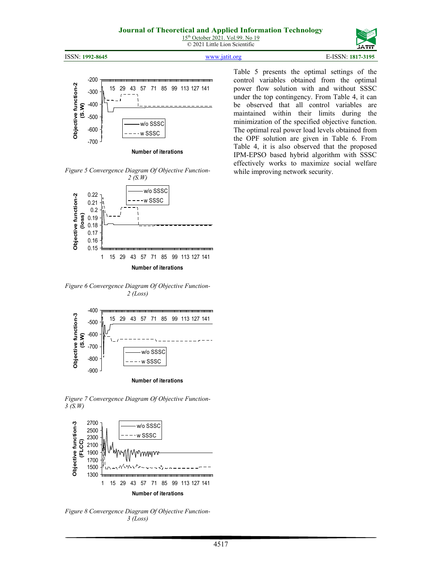15<sup>th</sup> October 2021. Vol.99. No 19 © 2021 Little Lion Scientific

ISSN: **1992-8645** [www.jatit.org](http://www.jatit.org/) E-ISSN: **1817-3195**



**Number of iterations**

*Figure 5 Convergence Diagram Of Objective Function-*



*Figure 6 Convergence Diagram Of Objective Function-2 (Loss)*



*Figure 7 Convergence Diagram Of Objective Function-3 (S.W)*



*Figure 8 Convergence Diagram Of Objective Function-3 (Loss)*

Table 5 presents the optimal settings of the control variables obtained from the optimal power flow solution with and without SSSC under the top contingency. From Table 4, it can be observed that all control variables are maintained within their limits during the minimization of the specified objective function. The optimal real power load levels obtained from the OPF solution are given in Table 6. From Table 4, it is also observed that the proposed IPM-EPSO based hybrid algorithm with SSSC effectively works to maximize social welfare while improving network security.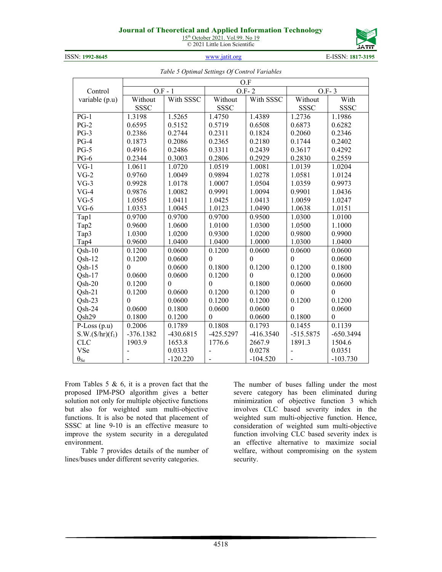# **Journal of Theoretical and Applied Information Technol**

15<sup>th</sup> October 2021. Vol.99. No 19 © 2021 Little Lion Scientific



ISSN: **1992-8645** [www.jatit.org](http://www.jatit.org/) E-ISSN: **1817-3195**

| оюду |  |  |
|------|--|--|
|      |  |  |

|  |  | Table 5 Optimal Settings Of Control Variables |
|--|--|-----------------------------------------------|

|                           | O.F         |             |                          |              |              |             |  |  |  |
|---------------------------|-------------|-------------|--------------------------|--------------|--------------|-------------|--|--|--|
| Control                   | $O.F - 1$   |             |                          | $O.F-2$      | $O.F-3$      |             |  |  |  |
| variable (p.u)            | Without     | With SSSC   | Without                  | With SSSC    | Without      | With        |  |  |  |
|                           | <b>SSSC</b> |             | <b>SSSC</b>              |              | <b>SSSC</b>  | <b>SSSC</b> |  |  |  |
| $PG-1$                    | 1.3198      | 1.5265      | 1.4750                   | 1.4389       | 1.2736       | 1.1986      |  |  |  |
| $PG-2$                    | 0.6595      | 0.5152      | 0.5719                   | 0.6508       | 0.6873       | 0.6282      |  |  |  |
| $PG-3$                    | 0.2386      | 0.2744      | 0.2311                   | 0.1824       | 0.2060       | 0.2346      |  |  |  |
| $PG-4$                    | 0.1873      | 0.2086      | 0.2365                   | 0.2180       | 0.1744       | 0.2402      |  |  |  |
| $PG-5$                    | 0.4916      | 0.2486      | 0.3311                   | 0.2439       | 0.3617       | 0.4292      |  |  |  |
| $PG-6$                    | 0.2344      | 0.3003      | 0.2806                   | 0.2929       | 0.2830       | 0.2559      |  |  |  |
| $VG-1$                    | 1.0611      | 1.0720      | 1.0519                   | 1.0081       | 1.0139       | 1.0204      |  |  |  |
| $VG-2$                    | 0.9760      | 1.0049      | 0.9894                   | 1.0278       | 1.0581       | 1.0124      |  |  |  |
| $VG-3$                    | 0.9928      | 1.0178      | 1.0007                   | 1.0504       | 1.0359       | 0.9973      |  |  |  |
| $VG-4$                    | 0.9876      | 1.0082      | 0.9991                   | 1.0094       | 0.9901       | 1.0436      |  |  |  |
| $VG-5$                    | 1.0505      | 1.0411      | 1.0425                   | 1.0413       | 1.0059       | 1.0247      |  |  |  |
| $VG-6$                    | 1.0353      | 1.0045      | 1.0123                   | 1.0490       | 1.0638       | 1.0151      |  |  |  |
| Tap1                      | 0.9700      | 0.9700      | 0.9700                   | 0.9500       | 1.0300       | 1.0100      |  |  |  |
| Tap2                      | 0.9600      | 1.0600      | 1.0100                   | 1.0300       | 1.0500       | 1.1000      |  |  |  |
| Tap3                      | 1.0300      | 1.0200      | 0.9300                   | 1.0200       | 0.9800       | 0.9900      |  |  |  |
| Tap4                      | 0.9600      | 1.0400      | 1.0400                   | 1.0000       | 1.0300       | 1.0400      |  |  |  |
| $Qsh-10$                  | 0.1200      | 0.0600      | 0.1200                   | 0.0600       | 0.0600       | 0.0600      |  |  |  |
| $Qsh-12$                  | 0.1200      | 0.0600      | $\Omega$                 | $\theta$     | $\theta$     | 0.0600      |  |  |  |
| $Osh-15$                  | $\theta$    | 0.0600      | 0.1800                   | 0.1200       | 0.1200       | 0.1800      |  |  |  |
| $Qsh-17$                  | 0.0600      | 0.0600      | 0.1200                   | $\mathbf{0}$ | 0.1200       | 0.0600      |  |  |  |
| $Qsh-20$                  | 0.1200      | $\theta$    | $\mathbf{0}$             | 0.1800       | 0.0600       | 0.0600      |  |  |  |
| $Osh-21$                  | 0.1200      | 0.0600      | 0.1200                   | 0.1200       | $\mathbf{0}$ | $\theta$    |  |  |  |
| $Osh-23$                  | $\theta$    | 0.0600      | 0.1200                   | 0.1200       | 0.1200       | 0.1200      |  |  |  |
| $Osh-24$                  | 0.0600      | 0.1800      | 0.0600                   | 0.0600       | $\mathbf{0}$ | 0.0600      |  |  |  |
| Qsh29                     | 0.1800      | 0.1200      | $\theta$                 | 0.0600       | 0.1800       | $\theta$    |  |  |  |
| $P$ -Loss (p.u)           | 0.2006      | 0.1789      | 0.1808                   | 0.1793       | 0.1455       | 0.1139      |  |  |  |
| $S.W.(\frac{6}{hr})(f_1)$ | $-376.1382$ | $-430.6815$ | $-425.5297$              | $-416.3540$  | $-515.5875$  | $-650.3494$ |  |  |  |
| <b>CLC</b>                | 1903.9      | 1653.8      | 1776.6                   | 2667.9       | 1891.3       | 1504.6      |  |  |  |
| VSe                       |             | 0.0333      |                          | 0.0278       |              | 0.0351      |  |  |  |
| $\theta_{\underline{Se}}$ |             | $-120.220$  | $\overline{\phantom{a}}$ | $-104.520$   |              | $-103.730$  |  |  |  |

From Tables 5 & 6, it is a proven fact that the proposed IPM-PSO algorithm gives a better solution not only for multiple objective functions but also for weighted sum multi-objective functions. It is also be noted that placement of SSSC at line 9-10 is an effective measure to improve the system security in a deregulated environment.

Table 7 provides details of the number of lines/buses under different severity categories.

The number of buses falling under the most severe category has been eliminated during minimization of objective function 3 which involves CLC based severity index in the weighted sum multi-objective function. Hence, consideration of weighted sum multi-objective function involving CLC based severity index is an effective alternative to maximize social welfare, without compromising on the system security.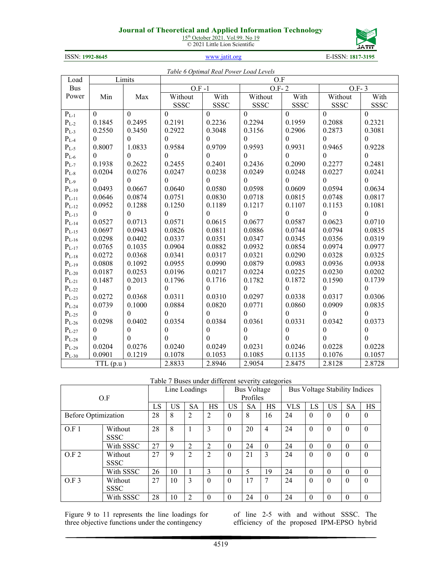# **Journal of Theoretical and Applied Information Technology**

15<sup>th</sup> October 2021. Vol.99. No 19 © 2021 Little Lion Scientific



ISSN: **1992-8645** [www.jatit.org](http://www.jatit.org/) E-ISSN: **1817-3195**

| Table 6 Optimal Real Power Load Levels |                  |                  |                  |                  |                  |                  |                  |                  |  |  |
|----------------------------------------|------------------|------------------|------------------|------------------|------------------|------------------|------------------|------------------|--|--|
| Load                                   |                  | Limits           | $\overline{O.F}$ |                  |                  |                  |                  |                  |  |  |
| <b>Bus</b>                             |                  |                  | $O.F - 1$        |                  | $O.F-2$          |                  | $O.F-3$          |                  |  |  |
| Power                                  | Min              | Max              | Without          | With             | Without          | With             | Without          | With             |  |  |
|                                        |                  |                  | <b>SSSC</b>      | <b>SSSC</b>      | <b>SSSC</b>      | <b>SSSC</b>      | <b>SSSC</b>      | <b>SSSC</b>      |  |  |
| $\mathbf{P}_{\text{L-1}}$              | $\mathbf{0}$     | $\mathbf{0}$     | $\mathbf{0}$     | $\Omega$         | $\mathbf{0}$     | $\Omega$         | $\theta$         | $\theta$         |  |  |
| $P_{L-2}$                              | 0.1845           | 0.2495           | 0.2191           | 0.2236           | 0.2294           | 0.1959           | 0.2088           | 0.2321           |  |  |
| $P_{L-3}$                              | 0.2550           | 0.3450           | 0.2922           | 0.3048           | 0.3156           | 0.2906           | 0.2873           | 0.3081           |  |  |
| $P_{L-4}$                              | $\theta$         | $\theta$         | $\Omega$         | $\Omega$         | $\theta$         | $\theta$         | $\theta$         | $\theta$         |  |  |
| $P_{L-5}$                              | 0.8007           | 1.0833           | 0.9584           | 0.9709           | 0.9593           | 0.9931           | 0.9465           | 0.9228           |  |  |
| $P_{L-6}$                              | $\theta$         | $\Omega$         | $\Omega$         | $\Omega$         | $\Omega$         | $\Omega$         | $\Omega$         | $\Omega$         |  |  |
| $P_{L-7}$                              | 0.1938           | 0.2622           | 0.2455           | 0.2401           | 0.2436           | 0.2090           | 0.2277           | 0.2481           |  |  |
| $P_{L-8}$                              | 0.0204           | 0.0276           | 0.0247           | 0.0238           | 0.0249           | 0.0248           | 0.0227           | 0.0241           |  |  |
| $\mathbf{P}_{\text{L-9}}$              | $\theta$         | $\Omega$         | $\Omega$         | $\theta$         | $\mathbf{0}$     | $\theta$         | $\theta$         | $\mathbf{0}$     |  |  |
| $P_{L-10}$                             | 0.0493           | 0.0667           | 0.0640           | 0.0580           | 0.0598           | 0.0609           | 0.0594           | 0.0634           |  |  |
| $P_{L-11}$                             | 0.0646           | 0.0874           | 0.0751           | 0.0830           | 0.0718           | 0.0815           | 0.0748           | 0.0817           |  |  |
| $P_{L-12}$                             | 0.0952           | 0.1288           | 0.1250           | 0.1189           | 0.1217           | 0.1107           | 0.1153           | 0.1081           |  |  |
| $\mathbf{P}_{\text{L-13}}$             | $\mathbf{0}$     | $\mathbf{0}$     | $\boldsymbol{0}$ | $\theta$         | $\mathbf{0}$     | $\boldsymbol{0}$ | $\boldsymbol{0}$ | $\boldsymbol{0}$ |  |  |
| $P_{L-14}$                             | 0.0527           | 0.0713           | 0.0571           | 0.0615           | 0.0677           | 0.0587           | 0.0623           | 0.0710           |  |  |
| $\mathbf{P}_{\text{L-15}}$             | 0.0697           | 0.0943           | 0.0826           | 0.0811           | 0.0886           | 0.0744           | 0.0794           | 0.0835           |  |  |
| $\mathbf{P}_{\text{L-16}}$             | 0.0298           | 0.0402           | 0.0337           | 0.0351           | 0.0347           | 0.0345           | 0.0356           | 0.0319           |  |  |
| $P_{L-17}$                             | 0.0765           | 0.1035           | 0.0904           | 0.0882           | 0.0932           | 0.0854           | 0.0974           | 0.0977           |  |  |
| $P_{L-18}$                             | 0.0272           | 0.0368           | 0.0341           | 0.0317           | 0.0321           | 0.0290           | 0.0328           | 0.0325           |  |  |
| $P_{L-19}$                             | 0.0808           | 0.1092           | 0.0955           | 0.0990           | 0.0879           | 0.0983           | 0.0936           | 0.0938           |  |  |
| $P_{L-20}$                             | 0.0187           | 0.0253           | 0.0196           | 0.0217           | 0.0224           | 0.0225           | 0.0230           | 0.0202           |  |  |
| $P_{L-21}$                             | 0.1487           | 0.2013           | 0.1796           | 0.1716           | 0.1782           | 0.1872           | 0.1590           | 0.1739           |  |  |
| $P_{L-22}$                             | $\theta$         | $\theta$         | $\overline{0}$   | $\theta$         | $\mathbf{0}$     | $\mathbf{0}$     | $\mathbf{0}$     | $\boldsymbol{0}$ |  |  |
| $P_{L-23}$                             | 0.0272           | 0.0368           | 0.0311           | 0.0310           | 0.0297           | 0.0338           | 0.0317           | 0.0306           |  |  |
| $\mathbf{P}_{\text{L-24}}$             | 0.0739           | 0.1000           | 0.0884           | 0.0820           | 0.0771           | 0.0860           | 0.0909           | 0.0835           |  |  |
| $P_{L-25}$                             | $\boldsymbol{0}$ | $\Omega$         | $\overline{0}$   | $\theta$         | $\boldsymbol{0}$ | $\theta$         | $\theta$         | $\mathbf{0}$     |  |  |
| $P_{L-26}$                             | 0.0298           | 0.0402           | 0.0354           | 0.0384           | 0.0361           | 0.0331           | 0.0342           | 0.0373           |  |  |
| $P_{L-27}$                             | $\boldsymbol{0}$ | $\theta$         | $\Omega$         | $\boldsymbol{0}$ | $\mathbf{0}$     | $\boldsymbol{0}$ | $\boldsymbol{0}$ | $\boldsymbol{0}$ |  |  |
| $P_{L-28}$                             | $\theta$         | $\boldsymbol{0}$ | $\Omega$         | $\theta$         | $\boldsymbol{0}$ | $\boldsymbol{0}$ | $\boldsymbol{0}$ | $\boldsymbol{0}$ |  |  |
| $P_{L-29}$                             | 0.0204           | 0.0276           | 0.0240           | 0.0249           | 0.0231           | 0.0246           | 0.0228           | 0.0228           |  |  |
| $P_{L-30}$                             | 0.0901           | 0.1219           | 0.1078           | 0.1053           | 0.1085           | 0.1135           | 0.1076           | 0.1057           |  |  |
| TTL(p.u)                               |                  | 2.8833           | 2.8946           | 2.9054           | 2.8475           | 2.8128           | 2.8728           |                  |  |  |

Table 7 Buses under different severity categories

| O.F                        |                        | Line Loadings |    |                | <b>Bus Voltage</b><br>Profiles |          | Bus Voltage Stability Indices |                |            |          |           |           |          |
|----------------------------|------------------------|---------------|----|----------------|--------------------------------|----------|-------------------------------|----------------|------------|----------|-----------|-----------|----------|
|                            |                        | LS            | US | <b>SA</b>      | HS                             | US       | <b>SA</b>                     | HS             | <b>VLS</b> | LS       | <b>US</b> | <b>SA</b> | HS       |
| <b>Before Optimization</b> |                        | 28            | 8  | 2              | 2                              | $\theta$ | 8                             | 16             | 24         | $\theta$ | $\theta$  | $\Omega$  | $\theta$ |
| O.F1                       | Without<br><b>SSSC</b> | 28            | 8  |                | 3                              | $\Omega$ | 20                            | $\overline{4}$ | 24         | $\Omega$ | $\Omega$  | $\Omega$  | $\Omega$ |
|                            | With SSSC              | 27            | 9  | 2              | 2                              | $\theta$ | 24                            | $\theta$       | 24         | $\theta$ | $\theta$  | $\Omega$  | $\theta$ |
| O.F2                       | Without<br><b>SSSC</b> | 27            | 9  | 2              | $\overline{2}$                 | $\Omega$ | 21                            | 3              | 24         | $\Omega$ | $\Omega$  | $\Omega$  | $\Omega$ |
|                            | With SSSC              | 26            | 10 |                | 3                              | $\theta$ | 5                             | 19             | 24         | $\theta$ | $\theta$  |           | $\Omega$ |
| O.F.3                      | Without<br><b>SSSC</b> | 27            | 10 | 3              | $\theta$                       | $\theta$ | 17                            | 7              | 24         | $\theta$ | $\theta$  | $\Omega$  | $\Omega$ |
|                            | With SSSC              | 28            | 10 | $\overline{c}$ | $\Omega$                       | $\Omega$ | 24                            | $\theta$       | 24         | $\theta$ | $\Omega$  | $\Omega$  | $\Omega$ |

Figure 9 to 11 represents the line loadings for three objective functions under the contingency

of line 2-5 with and without SSSC. The efficiency of the proposed IPM-EPSO hybrid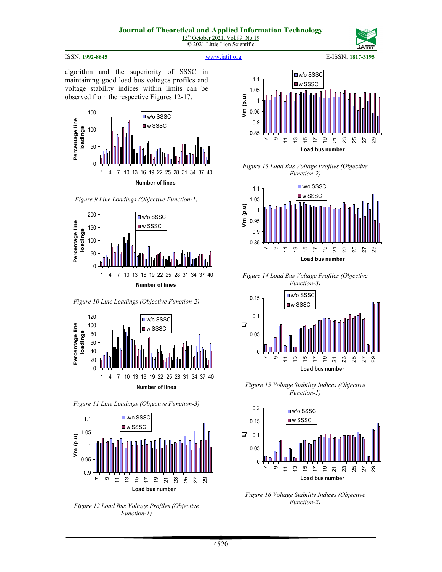#### **Journal of Theoretical and Applied Information Technology** 15<sup>th</sup> October 2021. Vol.99. No 19

#### ISSN: **1992-8645** [www.jatit.org](http://www.jatit.org/) E-ISSN: **1817-3195**

© 2021 Little Lion Scientific

algorithm and the superiority of SSSC in maintaining good load bus voltages profiles and voltage stability indices within limits can be observed from the respective Figures 12-17.



*Figure 9 Line Loadings (Objective Function-1)*



*Figure 10 Line Loadings (Objective Function-2)*



*Figure 11 Line Loadings (Objective Function-3)*



*Figure 12 Load Bus Voltage Profiles (Objective Function-1)*



*Figure 13 Load Bus Voltage Profiles (Objective Function-2)*



*Figure 14 Load Bus Voltage Profiles (Objective Function-3)*



*Figure 15 Voltage Stability Indices (Objective Function-1)*



*Figure 16 Voltage Stability Indices (Objective Function-2)*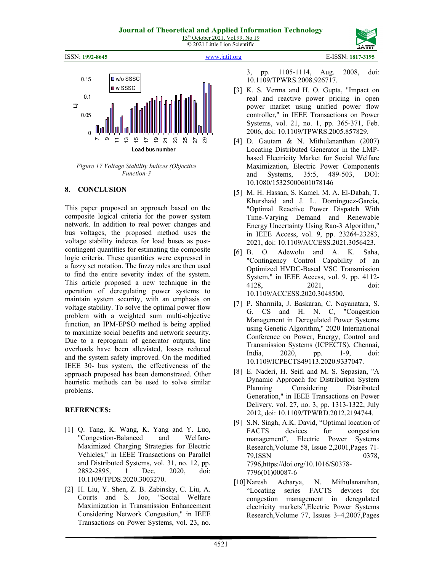





*Figure 17 Voltage Stability Indices (Objective Function-3*

# **8. CONCLUSION**

This paper proposed an approach based on the composite logical criteria for the power system network. In addition to real power changes and bus voltages, the proposed method uses the voltage stability indexes for load buses as postcontingent quantities for estimating the composite logic criteria. These quantities were expressed in a fuzzy set notation. The fuzzy rules are then used to find the entire severity index of the system. This article proposed a new technique in the operation of deregulating power systems to maintain system security, with an emphasis on voltage stability. To solve the optimal power flow problem with a weighted sum multi-objective function, an IPM-EPSO method is being applied to maximize social benefits and network security. Due to a reprogram of generator outputs, line overloads have been alleviated, losses reduced and the system safety improved. On the modified IEEE 30- bus system, the effectiveness of the approach proposed has been demonstrated. Other heuristic methods can be used to solve similar problems.

# **REFRENCES:**

- [1] Q. Tang, K. Wang, K. Yang and Y. Luo, "Congestion-Balanced and Welfare-Maximized Charging Strategies for Electric Vehicles," in IEEE Transactions on Parallel and Distributed Systems, vol. 31, no. 12, pp. 2882-2895, 1 Dec. 2020, doi: 10.1109/TPDS.2020.3003270.
- [2] H. Liu, Y. Shen, Z. B. Zabinsky, C. Liu, A. Courts and S. Joo, "Social Welfare Maximization in Transmission Enhancement Considering Network Congestion," in IEEE Transactions on Power Systems, vol. 23, no.

3, pp. 1105-1114, Aug. 2008, doi: 10.1109/TPWRS.2008.926717.

- [3] K. S. Verma and H. O. Gupta, "Impact on real and reactive power pricing in open power market using unified power flow controller," in IEEE Transactions on Power Systems, vol. 21, no. 1, pp. 365-371, Feb. 2006, doi: 10.1109/TPWRS.2005.857829.
- [4] D. Gautam & N. Mithulananthan (2007) Locating Distributed Generator in the LMPbased Electricity Market for Social Welfare Maximization, Electric Power Components and Systems, 35:5, 489-503, DOI: 10.1080/15325000601078146
- [5] M. H. Hassan, S. Kamel, M. A. El-Dabah, T. Khurshaid and J. L. Domínguez-García, "Optimal Reactive Power Dispatch With Time-Varying Demand and Renewable Energy Uncertainty Using Rao-3 Algorithm," in IEEE Access, vol. 9, pp. 23264-23283, 2021, doi: 10.1109/ACCESS.2021.3056423.
- [6] B. O. Adewolu and A. K. Saha, "Contingency Control Capability of an Optimized HVDC-Based VSC Transmission System," in IEEE Access, vol. 9, pp. 4112- 4128, 2021, doi: 10.1109/ACCESS.2020.3048500.
- [7] P. Sharmila, J. Baskaran, C. Nayanatara, S. G. CS and H. N. C, "Congestion Management in Deregulated Power Systems using Genetic Algorithm," 2020 International Conference on Power, Energy, Control and Transmission Systems (ICPECTS), Chennai, India, 2020, pp. 1-9, doi: 10.1109/ICPECTS49113.2020.9337047.
- [8] E. Naderi, H. Seifi and M. S. Sepasian, "A Dynamic Approach for Distribution System Planning Considering Distributed Generation," in IEEE Transactions on Power Delivery, vol. 27, no. 3, pp. 1313-1322, July 2012, doi: 10.1109/TPWRD.2012.2194744.
- [9] S.N. Singh, A.K. David, "Optimal location of FACTS devices for congestion management", Electric Power Systems Research,Volume 58, Issue 2,2001,Pages 71- 79,ISSN 0378, 7796,https://doi.org/10.1016/S0378- 7796(01)00087-6
- [10]Naresh Acharya, N. Mithulananthan, "Locating series FACTS devices for congestion management in deregulated electricity markets",Electric Power Systems Research,Volume 77, Issues 3–4,2007,Pages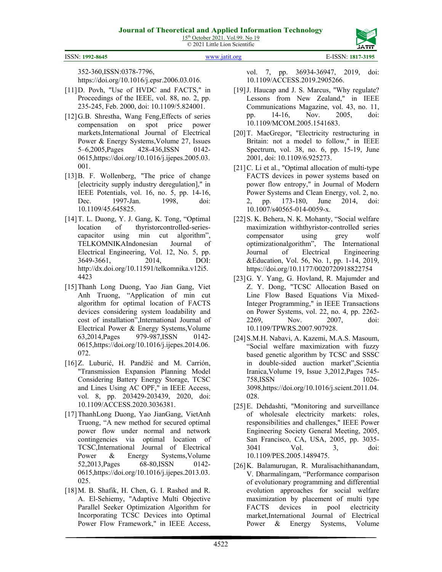

ISSN: **1992-8645** [www.jatit.org](http://www.jatit.org/) E-ISSN: **1817-3195**

352-360,ISSN:0378-7796,

https://doi.org/10.1016/j.epsr.2006.03.016.

- [11]D. Povh, "Use of HVDC and FACTS," in Proceedings of the IEEE, vol. 88, no. 2, pp. 235-245, Feb. 2000, doi: 10.1109/5.824001.
- [12] G.B. Shrestha, Wang Feng, Effects of series compensation on spot price power markets,International Journal of Electrical Power & Energy Systems,Volume 27, Issues 5–6,2005,Pages 428-436,ISSN 0142- 0615,https://doi.org/10.1016/j.ijepes.2005.03. 001.
- [13] B. F. Wollenberg, "The price of change [electricity supply industry deregulation]," in IEEE Potentials, vol. 16, no. 5, pp. 14-16, Dec. 1997-Jan. 1998, doi: 10.1109/45.645825.
- [14]T. L. Duong, Y. J. Gang, K. Tong, "Optimal location of thyristorcontrolled-seriescapacitor using min cut algorithm", TELKOMNIKAIndonesian Journal of Electrical Engineering, Vol. 12, No. 5, pp. 3649-3661, 2014, DOI: http://dx.doi.org/10.11591/telkomnika.v12i5. 4423
- [15]Thanh Long Duong, Yao Jian Gang, Viet Anh Truong, "Application of min cut algorithm for optimal location of FACTS devices considering system loadability and cost of installation",International Journal of Electrical Power & Energy Systems,Volume 63,2014,Pages 979-987,ISSN 0142- 0615,https://doi.org/10.1016/j.ijepes.2014.06. 072.
- [16]Z. Luburić, H. Pandžić and M. Carrión, "Transmission Expansion Planning Model Considering Battery Energy Storage, TCSC and Lines Using AC OPF," in IEEE Access, vol. 8, pp. 203429-203439, 2020, doi: 10.1109/ACCESS.2020.3036381.
- [17]ThanhLong Duong, Yao JianGang, VietAnh Truong, "A new method for secured optimal power flow under normal and network contingencies via optimal location of TCSC,International Journal of Electrical Power & Energy Systems,Volume 52,2013, Pages 68-80, ISSN 0142-0615,https://doi.org/10.1016/j.ijepes.2013.03. 025.
- [18]M. B. Shafik, H. Chen, G. I. Rashed and R. A. El-Sehiemy, "Adaptive Multi Objective Parallel Seeker Optimization Algorithm for Incorporating TCSC Devices into Optimal Power Flow Framework," in IEEE Access,

vol. 7, pp. 36934-36947, 2019, doi: 10.1109/ACCESS.2019.2905266.

- [19]J. Haucap and J. S. Marcus, "Why regulate? Lessons from New Zealand," in IEEE Communications Magazine, vol. 43, no. 11, pp. 14-16, Nov. 2005, doi: 10.1109/MCOM.2005.1541683.
- [20]T. MacGregor, "Electricity restructuring in Britain: not a model to follow," in IEEE Spectrum, vol. 38, no. 6, pp. 15-19, June 2001, doi: 10.1109/6.925273.
- [21] C. Li et al., "Optimal allocation of multi-type FACTS devices in power systems based on power flow entropy," in Journal of Modern Power Systems and Clean Energy, vol. 2, no. 2, pp. 173-180, June 2014, doi: 10.1007/s40565-014-0059-x.
- [22]S. K. Behera, N. K. Mohanty, "Social welfare maximization withthyristor-controlled series compensator using grey wolf optimizationalgorithm", The International Journal of Electrical Engineering &Education, Vol. 56, No. 1, pp. 1-14, 2019, https://doi.org/10.1177/0020720918822754
- [23]G. Y. Yang, G. Hovland, R. Majumder and Z. Y. Dong, "TCSC Allocation Based on Line Flow Based Equations Via Mixed-Integer Programming," in IEEE Transactions on Power Systems, vol. 22, no. 4, pp. 2262- 2269, Nov. 2007, doi: 10.1109/TPWRS.2007.907928.
- [24]S.M.H. Nabavi, A. Kazemi, M.A.S. Masoum, "Social welfare maximization with fuzzy based genetic algorithm by TCSC and SSSC in double-sided auction market",Scientia Iranica,Volume 19, Issue 3,2012,Pages 745- 758,ISSN 1026- 3098,https://doi.org/10.1016/j.scient.2011.04. 028.
- [25]E. Dehdashti, "Monitoring and surveillance of wholesale electricity markets: roles, responsibilities and challenges," IEEE Power Engineering Society General Meeting, 2005, San Francisco, CA, USA, 2005, pp. 3035- 3041 Vol. 3, doi: 10.1109/PES.2005.1489475.
- [26]K. Balamurugan, R. Muralisachithanandam, V. Dharmalingam, "Performance comparison of evolutionary programming and differential evolution approaches for social welfare maximization by placement of multi type FACTS devices in pool electricity market,International Journal of Electrical Power & Energy Systems, Volume